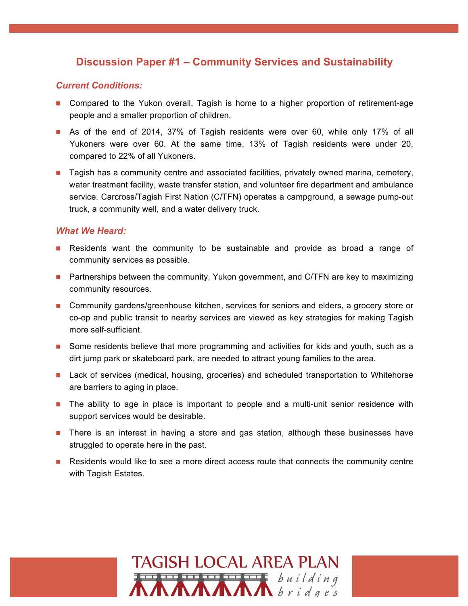# **Discussion Paper #1 – Community Services and Sustainability**

### *Current Conditions:*

- **n** Compared to the Yukon overall, Tagish is home to a higher proportion of retirement-age people and a smaller proportion of children.
- **n** As of the end of 2014, 37% of Tagish residents were over 60, while only 17% of all Yukoners were over 60. At the same time, 13% of Tagish residents were under 20, compared to 22% of all Yukoners.
- **n** Tagish has a community centre and associated facilities, privately owned marina, cemetery, water treatment facility, waste transfer station, and volunteer fire department and ambulance service. Carcross/Tagish First Nation (C/TFN) operates a campground, a sewage pump-out truck, a community well, and a water delivery truck.

- Residents want the community to be sustainable and provide as broad a range of community services as possible.
- **n** Partnerships between the community, Yukon government, and C/TFN are key to maximizing community resources.
- **n** Community gardens/greenhouse kitchen, services for seniors and elders, a grocery store or co-op and public transit to nearby services are viewed as key strategies for making Tagish more self-sufficient.
- **n** Some residents believe that more programming and activities for kids and youth, such as a dirt jump park or skateboard park, are needed to attract young families to the area.
- **n** Lack of services (medical, housing, groceries) and scheduled transportation to Whitehorse are barriers to aging in place.
- **n** The ability to age in place is important to people and a multi-unit senior residence with support services would be desirable.
- **n** There is an interest in having a store and gas station, although these businesses have struggled to operate here in the past.
- **n** Residents would like to see a more direct access route that connects the community centre with Tagish Estates.

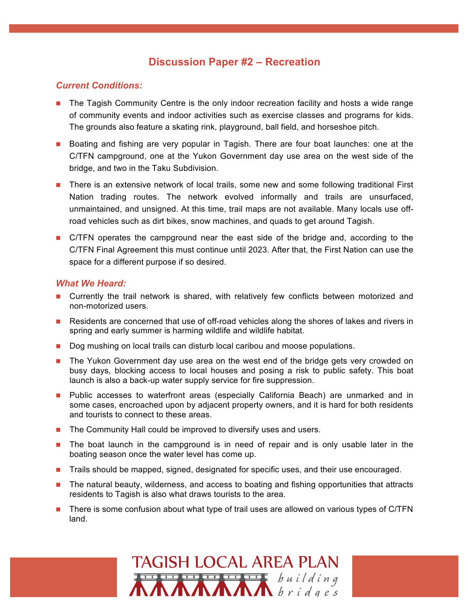## **Discussion Paper #2 – Recreation**

### *Current Conditions:*

- n The Tagish Community Centre is the only indoor recreation facility and hosts a wide range of community events and indoor activities such as exercise classes and programs for kids. The grounds also feature a skating rink, playground, ball field, and horseshoe pitch.
- n Boating and fishing are very popular in Tagish. There are four boat launches: one at the C/TFN campground, one at the Yukon Government day use area on the west side of the bridge, and two in the Taku Subdivision.
- **n** There is an extensive network of local trails, some new and some following traditional First Nation trading routes. The network evolved informally and trails are unsurfaced, unmaintained, and unsigned. At this time, trail maps are not available. Many locals use offroad vehicles such as dirt bikes, snow machines, and quads to get around Tagish.
- **n** C/TFN operates the campground near the east side of the bridge and, according to the C/TFN Final Agreement this must continue until 2023. After that, the First Nation can use the space for a different purpose if so desired.

- n Currently the trail network is shared, with relatively few conflicts between motorized and non-motorized users.
- n Residents are concerned that use of off-road vehicles along the shores of lakes and rivers in spring and early summer is harming wildlife and wildlife habitat.
- **Dog mushing on local trails can disturb local caribou and moose populations.**
- **n** The Yukon Government day use area on the west end of the bridge gets very crowded on busy days, blocking access to local houses and posing a risk to public safety. This boat launch is also a back-up water supply service for fire suppression.
- **n** Public accesses to waterfront areas (especially California Beach) are unmarked and in some cases, encroached upon by adjacent property owners, and it is hard for both residents and tourists to connect to these areas.
- $\blacksquare$  The Community Hall could be improved to diversify uses and users.
- **n** The boat launch in the campground is in need of repair and is only usable later in the boating season once the water level has come up.
- **n** Trails should be mapped, signed, designated for specific uses, and their use encouraged.
- n The natural beauty, wilderness, and access to boating and fishing opportunities that attracts residents to Tagish is also what draws tourists to the area.
- There is some confusion about what type of trail uses are allowed on various types of C/TFN land.

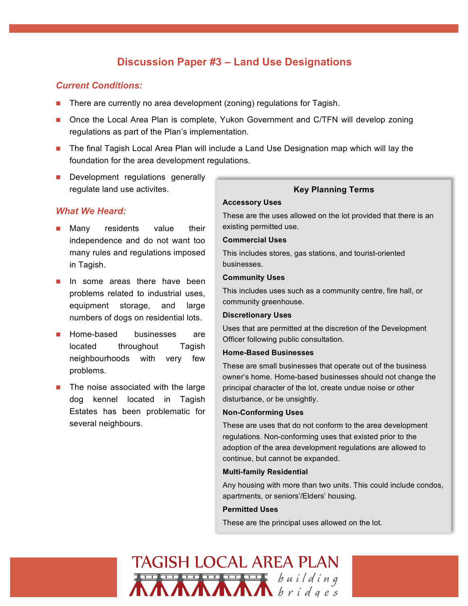# **Discussion Paper #3 – Land Use Designations**

### *Current Conditions:*

- **n** There are currently no area development (zoning) regulations for Tagish.
- Once the Local Area Plan is complete, Yukon Government and C/TFN will develop zoning regulations as part of the Plan's implementation.
- n The final Tagish Local Area Plan will include a Land Use Designation map which will lay the foundation for the area development regulations.
- **n** Development regulations generally regulate land use activites.

### *What We Heard:*

- Many residents value their independence and do not want too many rules and regulations imposed in Tagish.
- **n** In some areas there have been problems related to industrial uses, equipment storage, and large numbers of dogs on residential lots.
- **n** Home-based businesses are located throughout Tagish neighbourhoods with very few problems.
- The noise associated with the large dog kennel located in Tagish Estates has been problematic for several neighbours.

### **Key Planning Terms**

#### **Accessory Uses**

These are the uses allowed on the lot provided that there is an existing permitted use.

#### **Commercial Uses**

This includes stores, gas stations, and tourist-oriented businesses.

#### **Community Uses**

This includes uses such as a community centre, fire hall, or community greenhouse.

#### **Discretionary Uses**

Uses that are permitted at the discretion of the Development Officer following public consultation.

#### **Home-Based Businesses**

These are small businesses that operate out of the business owner's home. Home-based businesses should not change the principal character of the lot, create undue noise or other disturbance, or be unsightly.

#### **Non-Conforming Uses**

These are uses that do not conform to the area development regulations. Non-conforming uses that existed prior to the adoption of the area development regulations are allowed to continue, but cannot be expanded.

#### **Multi-family Residential**

Any housing with more than two units. This could include condos, apartments, or seniors'/Elders' housing.

#### **Permitted Uses**

These are the principal uses allowed on the lot.

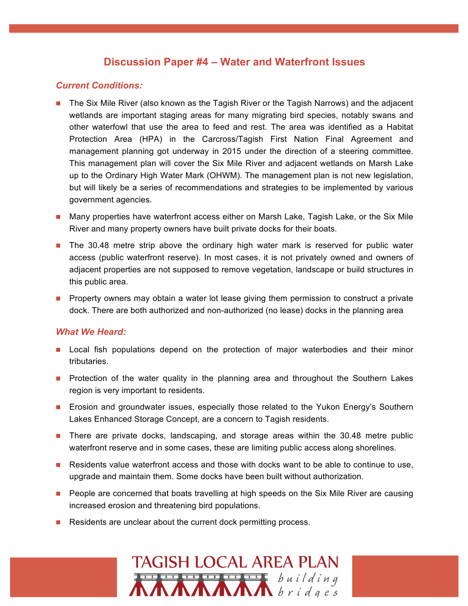## **Discussion Paper #4 – Water and Waterfront Issues**

### *Current Conditions:*

- n The Six Mile River (also known as the Tagish River or the Tagish Narrows) and the adjacent wetlands are important staging areas for many migrating bird species, notably swans and other waterfowl that use the area to feed and rest. The area was identified as a Habitat Protection Area (HPA) in the Carcross/Tagish First Nation Final Agreement and management planning got underway in 2015 under the direction of a steering committee. This management plan will cover the Six Mile River and adjacent wetlands on Marsh Lake up to the Ordinary High Water Mark (OHWM). The management plan is not new legislation, but will likely be a series of recommendations and strategies to be implemented by various government agencies.
- **n** Many properties have waterfront access either on Marsh Lake, Tagish Lake, or the Six Mile River and many property owners have built private docks for their boats.
- n The 30.48 metre strip above the ordinary high water mark is reserved for public water access (public waterfront reserve). In most cases, it is not privately owned and owners of adjacent properties are not supposed to remove vegetation, landscape or build structures in this public area.
- **Property owners may obtain a water lot lease giving them permission to construct a private** dock. There are both authorized and non-authorized (no lease) docks in the planning area

- **n** Local fish populations depend on the protection of major waterbodies and their minor tributaries.
- **n** Protection of the water quality in the planning area and throughout the Southern Lakes region is very important to residents.
- **n** Erosion and groundwater issues, especially those related to the Yukon Energy's Southern Lakes Enhanced Storage Concept, are a concern to Tagish residents.
- **n** There are private docks, landscaping, and storage areas within the 30.48 metre public waterfront reserve and in some cases, these are limiting public access along shorelines.
- **n** Residents value waterfront access and those with docks want to be able to continue to use, upgrade and maintain them. Some docks have been built without authorization.
- **People are concerned that boats travelling at high speeds on the Six Mile River are causing** increased erosion and threatening bird populations.
- $\blacksquare$  Residents are unclear about the current dock permitting process.

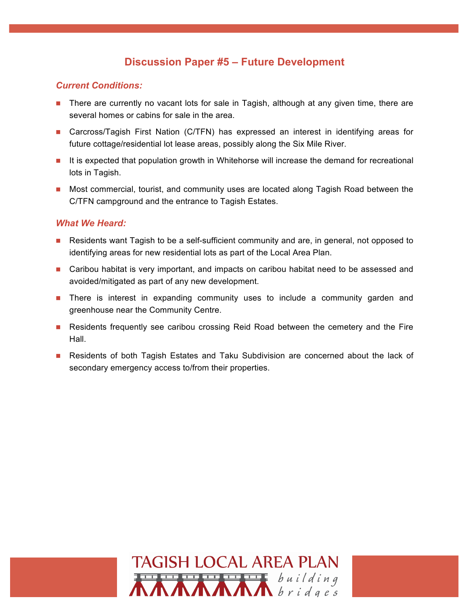# **Discussion Paper #5 – Future Development**

### *Current Conditions:*

- **n** There are currently no vacant lots for sale in Tagish, although at any given time, there are several homes or cabins for sale in the area.
- Carcross/Tagish First Nation (C/TFN) has expressed an interest in identifying areas for future cottage/residential lot lease areas, possibly along the Six Mile River.
- **n** It is expected that population growth in Whitehorse will increase the demand for recreational lots in Tagish.
- **n** Most commercial, tourist, and community uses are located along Tagish Road between the C/TFN campground and the entrance to Tagish Estates.

- **n** Residents want Tagish to be a self-sufficient community and are, in general, not opposed to identifying areas for new residential lots as part of the Local Area Plan.
- **n** Caribou habitat is very important, and impacts on caribou habitat need to be assessed and avoided/mitigated as part of any new development.
- **n** There is interest in expanding community uses to include a community garden and greenhouse near the Community Centre.
- **n** Residents frequently see caribou crossing Reid Road between the cemetery and the Fire Hall.
- **n** Residents of both Tagish Estates and Taku Subdivision are concerned about the lack of secondary emergency access to/from their properties.

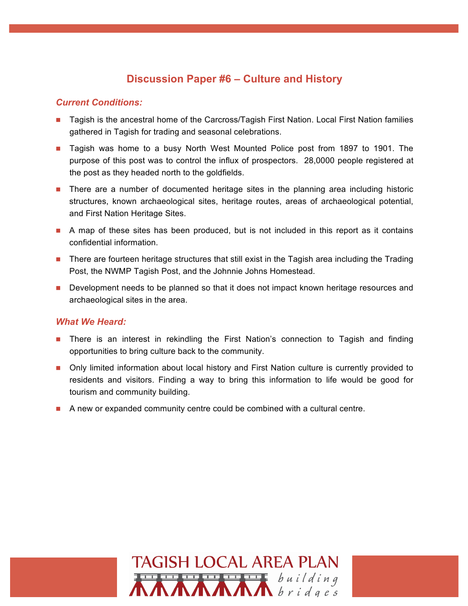## **Discussion Paper #6 – Culture and History**

### *Current Conditions:*

- Tagish is the ancestral home of the Carcross/Tagish First Nation. Local First Nation families gathered in Tagish for trading and seasonal celebrations.
- **n** Tagish was home to a busy North West Mounted Police post from 1897 to 1901. The purpose of this post was to control the influx of prospectors. 28,0000 people registered at the post as they headed north to the goldfields.
- **n** There are a number of documented heritage sites in the planning area including historic structures, known archaeological sites, heritage routes, areas of archaeological potential, and First Nation Heritage Sites.
- $\blacksquare$  A map of these sites has been produced, but is not included in this report as it contains confidential information.
- **n** There are fourteen heritage structures that still exist in the Tagish area including the Trading Post, the NWMP Tagish Post, and the Johnnie Johns Homestead.
- **n** Development needs to be planned so that it does not impact known heritage resources and archaeological sites in the area.

- **n** There is an interest in rekindling the First Nation's connection to Tagish and finding opportunities to bring culture back to the community.
- n Only limited information about local history and First Nation culture is currently provided to residents and visitors. Finding a way to bring this information to life would be good for tourism and community building.
- **n** A new or expanded community centre could be combined with a cultural centre.